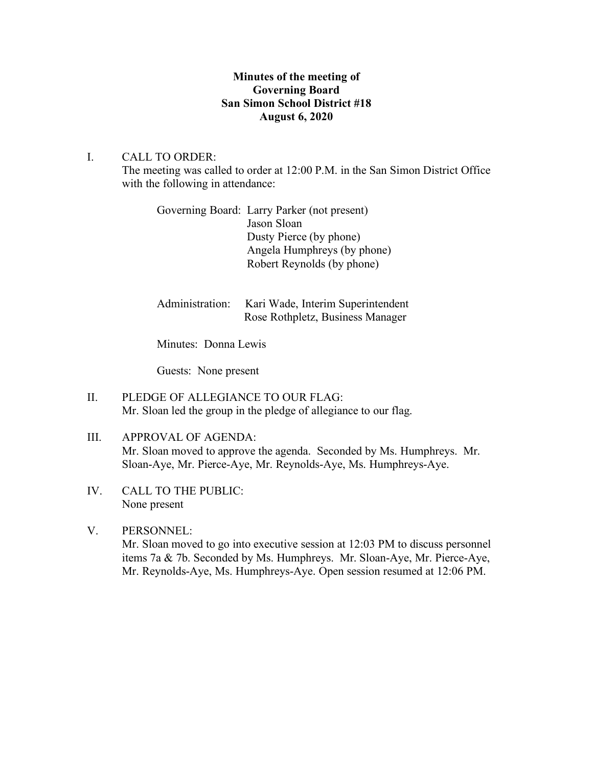## **Minutes of the meeting of Governing Board San Simon School District #18 August 6, 2020**

I. CALL TO ORDER: The meeting was called to order at 12:00 P.M. in the San Simon District Office with the following in attendance:

| Governing Board: Larry Parker (not present) |
|---------------------------------------------|
| Jason Sloan                                 |
| Dusty Pierce (by phone)                     |
| Angela Humphreys (by phone)                 |
| Robert Reynolds (by phone)                  |
|                                             |

| Administration: Kari Wade, Interim Superintendent |
|---------------------------------------------------|
| Rose Rothpletz, Business Manager                  |

Minutes: Donna Lewis

Guests: None present

- II. PLEDGE OF ALLEGIANCE TO OUR FLAG: Mr. Sloan led the group in the pledge of allegiance to our flag.
- III. APPROVAL OF AGENDA: Mr. Sloan moved to approve the agenda. Seconded by Ms. Humphreys. Mr. Sloan-Aye, Mr. Pierce-Aye, Mr. Reynolds-Aye, Ms. Humphreys-Aye.
- IV. CALL TO THE PUBLIC: None present
- V. PERSONNEL:

Mr. Sloan moved to go into executive session at 12:03 PM to discuss personnel items 7a & 7b. Seconded by Ms. Humphreys. Mr. Sloan-Aye, Mr. Pierce-Aye, Mr. Reynolds-Aye, Ms. Humphreys-Aye. Open session resumed at 12:06 PM.